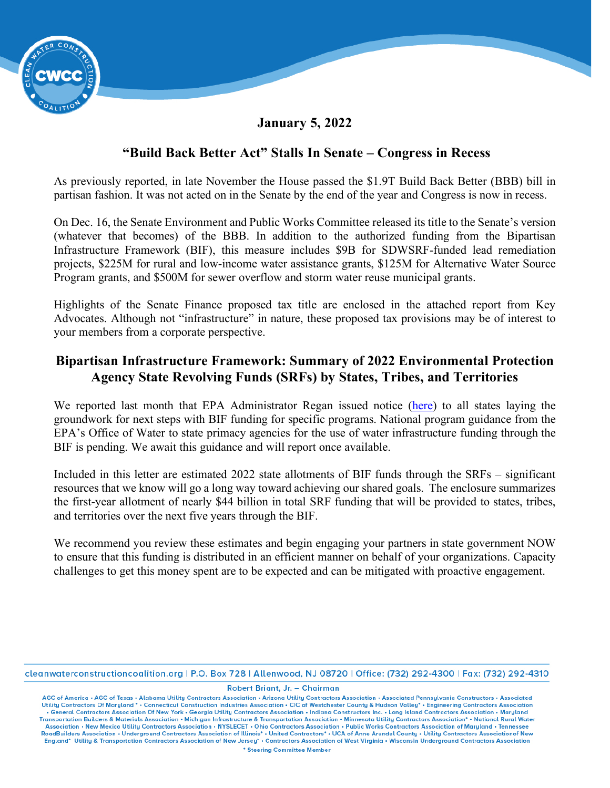

### **January 5, 2022**

## **"Build Back Better Act" Stalls In Senate – Congress in Recess**

As previously reported, in late November the House passed the \$1.9T Build Back Better (BBB) bill in partisan fashion. It was not acted on in the Senate by the end of the year and Congress is now in recess.

On Dec. 16, the Senate Environment and Public Works Committee released its title to the Senate's version (whatever that becomes) of the BBB. In addition to the authorized funding from the Bipartisan Infrastructure Framework (BIF), this measure includes \$9B for SDWSRF-funded lead remediation projects, \$225M for rural and low-income water assistance grants, \$125M for Alternative Water Source Program grants, and \$500M for sewer overflow and storm water reuse municipal grants.

Highlights of the Senate Finance proposed tax title are enclosed in the attached report from Key Advocates. Although not "infrastructure" in nature, these proposed tax provisions may be of interest to your members from a corporate perspective.

# **Bipartisan Infrastructure Framework: Summary of 2022 Environmental Protection Agency State Revolving Funds (SRFs) by States, Tribes, and Territories**

We reported last month that EPA Administrator Regan issued notice [\(here\)](https://www.epa.gov/system/files/documents/2021-12/governors-bil-letter-final-508.pdf) to all states laying the groundwork for next steps with BIF funding for specific programs. National program guidance from the EPA's Office of Water to state primacy agencies for the use of water infrastructure funding through the BIF is pending. We await this guidance and will report once available.

Included in this letter are estimated 2022 state allotments of BIF funds through the SRFs – significant resources that we know will go a long way toward achieving our shared goals. The enclosure summarizes the first-year allotment of nearly \$44 billion in total SRF funding that will be provided to states, tribes, and territories over the next five years through the BIF.

We recommend you review these estimates and begin engaging your partners in state government NOW to ensure that this funding is distributed in an efficient manner on behalf of your organizations. Capacity challenges to get this money spent are to be expected and can be mitigated with proactive engagement.

cleanwaterconstructioncoalition.org | P.O. Box 728 | Allenwood, NJ 08720 | Office: (732) 292-4300 | Fax: (732) 292-4310

Robert Briant, Jr. - Chairman

AGC of America • AGC of Texas • Alabama Utility Contractors Association • Arizona Utility Contractors Association • Associated Pennsylvania Constructors • Associated Utility Contractors Of Maryland • • Connecticut Construc . General Contractors Association Of New York . Georgia Utility Contractors Association . Indiana Constructors Inc. . Long Island Contractors Association . Maryland Transportation Builders & Materials Association • Michigan Infrastructure & Transportation Association • Minnesota Utility Contractors Association\* • National Rural Water Association • New Mexico Utility Contractors Association • NYSLECET • Ohio Contractors Association • Public Works Contractors Association of Maryland • Tennessee<br>RoadBuilders Association • Underground Contractors Associati England\* Utility & Transportation Contractors Association of New Jersey\* . Contractors Association of West Virginia . Wisconsin Underground Contractors Association \* Steering Committee Member